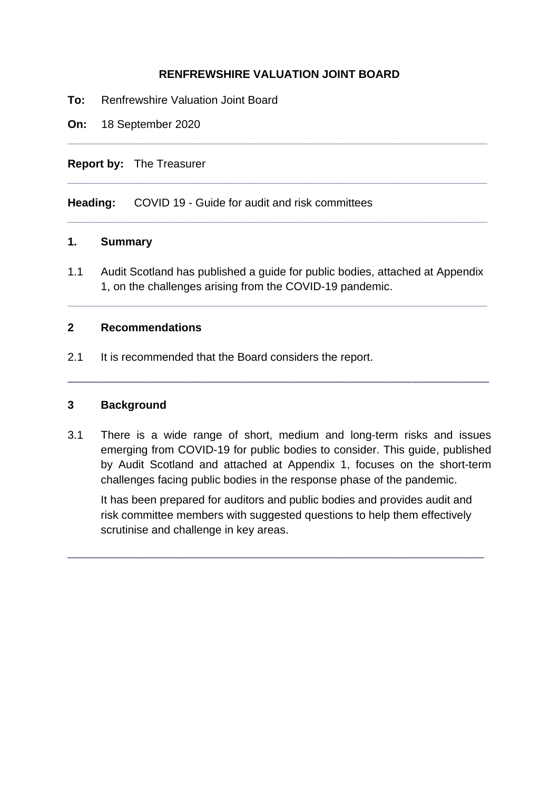#### **RENFREWSHIRE VALUATION JOINT BOARD**

**\_\_\_\_\_\_\_\_\_\_\_\_\_\_\_\_\_\_\_\_\_\_\_\_\_\_\_\_\_\_\_\_\_\_\_\_\_\_\_\_\_\_\_\_\_\_\_\_\_\_\_\_\_\_\_\_\_\_\_\_\_\_\_\_\_\_\_**

**\_\_\_\_\_\_\_\_\_\_\_\_\_\_\_\_\_\_\_\_\_\_\_\_\_\_\_\_\_\_\_\_\_\_\_\_\_\_\_\_\_\_\_\_\_\_\_\_\_\_\_\_\_\_\_\_\_\_\_\_\_\_\_\_\_\_\_**

**\_\_\_\_\_\_\_\_\_\_\_\_\_\_\_\_\_\_\_\_\_\_\_\_\_\_\_\_\_\_\_\_\_\_\_\_\_\_\_\_\_\_\_\_\_\_\_\_\_\_\_\_\_\_\_\_\_\_\_\_\_\_\_\_\_\_\_**

- **To:** Renfrewshire Valuation Joint Board
- **On:** 18 September 2020

#### **Report by:** The Treasurer

**Heading:** COVID 19 - Guide for audit and risk committees

#### **1. Summary**

1.1 Audit Scotland has published a guide for public bodies, attached at Appendix 1, on the challenges arising from the COVID-19 pandemic.

**\_\_\_\_\_\_\_\_\_\_\_\_\_\_\_\_\_\_\_\_\_\_\_\_\_\_\_\_\_\_\_\_\_\_\_\_\_\_\_\_\_\_\_\_\_\_\_\_\_\_\_\_\_\_\_\_\_\_\_\_\_\_\_\_\_\_\_**

#### **2 Recommendations**

2.1 It is recommended that the Board considers the report.

#### **3 Background**

3.1 There is a wide range of short, medium and long-term risks and issues emerging from COVID-19 for public bodies to consider. This guide, published by Audit Scotland and attached at Appendix 1, focuses on the short-term challenges facing public bodies in the response phase of the pandemic.

**\_\_\_\_\_\_\_\_\_\_\_\_\_\_\_\_\_\_\_\_\_\_\_\_\_\_\_\_\_\_\_\_\_\_\_\_\_\_\_\_\_\_\_\_\_\_\_\_\_\_\_\_\_\_\_\_\_\_\_\_\_\_\_\_\_\_\_\_\_\_\_\_\_\_\_\_\_\_\_\_\_\_** 

It has been prepared for auditors and public bodies and provides audit and risk committee members with suggested questions to help them effectively scrutinise and challenge in key areas.

\_\_\_\_\_\_\_\_\_\_\_\_\_\_\_\_\_\_\_\_\_\_\_\_\_\_\_\_\_\_\_\_\_\_\_\_\_\_\_\_\_\_\_\_\_\_\_\_\_\_\_\_\_\_\_\_\_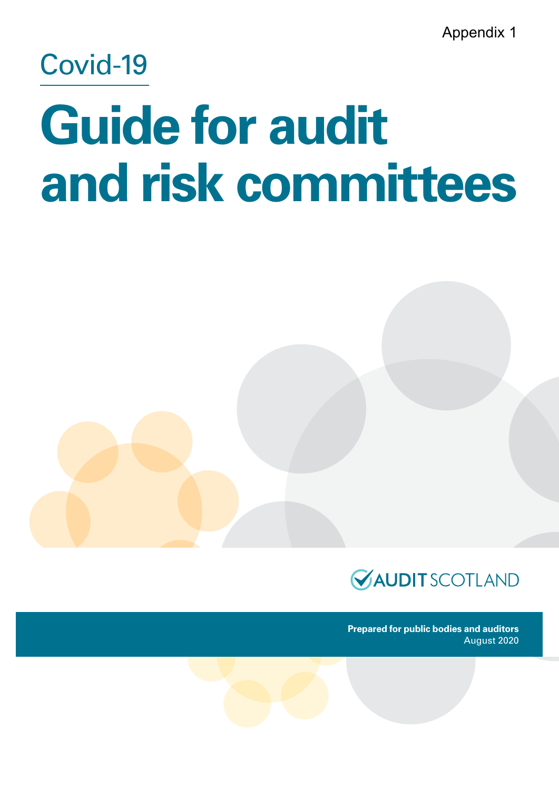Appendix 1

# Covid-19

# **Guide for audit and risk committees**



**Prepared for public bodies and auditors** August 2020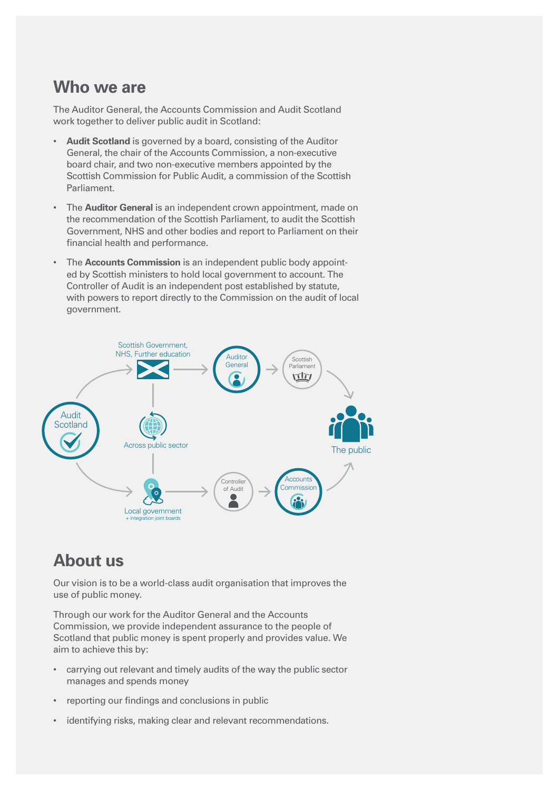### **Who we are**

The Auditor General, the Accounts Commission and Audit Scotland work together to deliver public audit in Scotland:

- **Audit Scotland** is governed by a board, consisting of the Auditor General, the chair of the Accounts Commission, a non-executive board chair, and two non-executive members appointed by the Scottish Commission for Public Audit, a commission of the Scottish Parliament.
- The **Auditor General** is an independent crown appointment, made on the recommendation of the Scottish Parliament, to audit the Scottish Government, NHS and other bodies and report to Parliament on their financial health and performance.
- The **Accounts Commission** is an independent public body appointed by Scottish ministers to hold local government to account. The Controller of Audit is an independent post established by statute, with powers to report directly to the Commission on the audit of local government.



### **About us**

Our vision is to be a world-class audit organisation that improves the use of public money.

Through our work for the Auditor General and the Accounts Commission, we provide independent assurance to the people of Scotland that public money is spent properly and provides value. We aim to achieve this by:

- carrying out relevant and timely audits of the way the public sector manages and spends money
- reporting our findings and conclusions in public
- identifying risks, making clear and relevant recommendations.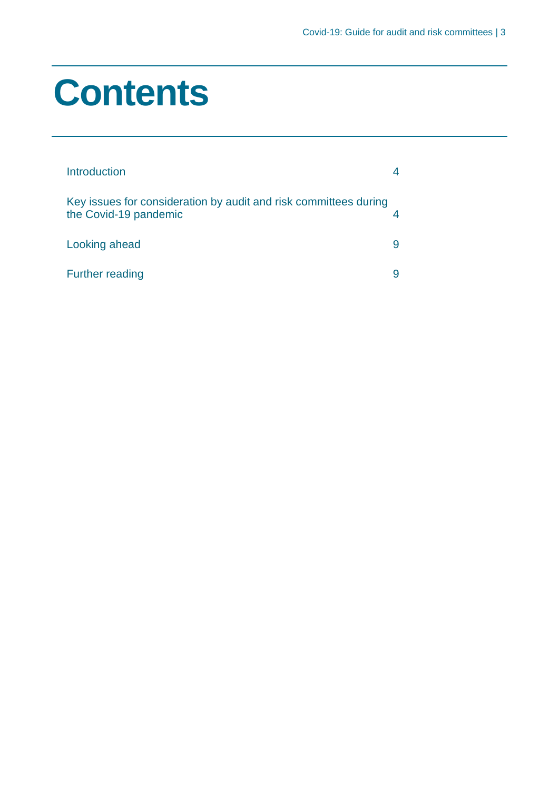# **Contents**

| Introduction                                                                              |  |
|-------------------------------------------------------------------------------------------|--|
| Key issues for consideration by audit and risk committees during<br>the Covid-19 pandemic |  |
| Looking ahead                                                                             |  |
| <b>Further reading</b>                                                                    |  |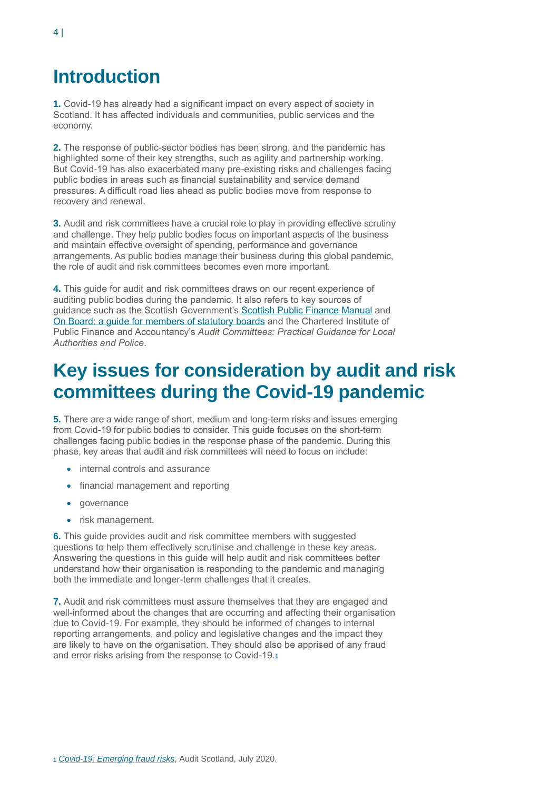# <span id="page-6-0"></span>**Introduction**

**1.** Covid-19 has already had a significant impact on every aspect of society in Scotland. It has affected individuals and communities, public services and the economy.

**2.** The response of public-sector bodies has been strong, and the pandemic has highlighted some of their key strengths, such as agility and partnership working. But Covid-19 has also exacerbated many pre-existing risks and challenges facing public bodies in areas such as financial sustainability and service demand pressures. A difficult road lies ahead as public bodies move from response to recovery and renewal.

**3.** Audit and risk committees have a crucial role to play in providing effective scrutiny and challenge. They help public bodies focus on important aspects of the business and maintain effective oversight of spending, performance and governance arrangements. As public bodies manage their business during this global pandemic, the role of audit and risk committees becomes even more important.

**4.** This guide for audit and risk committees draws on our recent experience of auditing public bodies during the pandemic. It also refers to key sources of guidance such as the Scottish Government's [Scottish Public Finance Manual](https://www.gov.scot/publications/scottish-public-finance-manual/) and [On Board: a guide for members of statutory boards](https://www.gov.scot/publications/board-guide-members-statutory-boards/) and the Chartered Institute of Public Finance and Accountancy's *Audit Committees: Practical Guidance for Local Authorities and Police*.

# <span id="page-6-1"></span>**Key issues for consideration by audit and risk committees during the Covid-19 pandemic**

**5.** There are a wide range of short, medium and long-term risks and issues emerging from Covid-19 for public bodies to consider. This guide focuses on the short-term challenges facing public bodies in the response phase of the pandemic. During this phase, key areas that audit and risk committees will need to focus on include:

- internal controls and assurance
- financial management and reporting
- governance
- risk management.

**6.** This guide provides audit and risk committee members with suggested questions to help them effectively scrutinise and challenge in these key areas. Answering the questions in this guide will help audit and risk committees better understand how their organisation is responding to the pandemic and managing both the immediate and longer-term challenges that it creates.

**7.** Audit and risk committees must assure themselves that they are engaged and well-informed about the changes that are occurring and affecting their organisation due to Covid-19. For example, they should be informed of changes to internal reporting arrangements, and policy and legislative changes and the impact they are likely to have on the organisation. They should also be apprised of any fraud and error risks arising from the response to Covid-19.**<sup>1</sup>**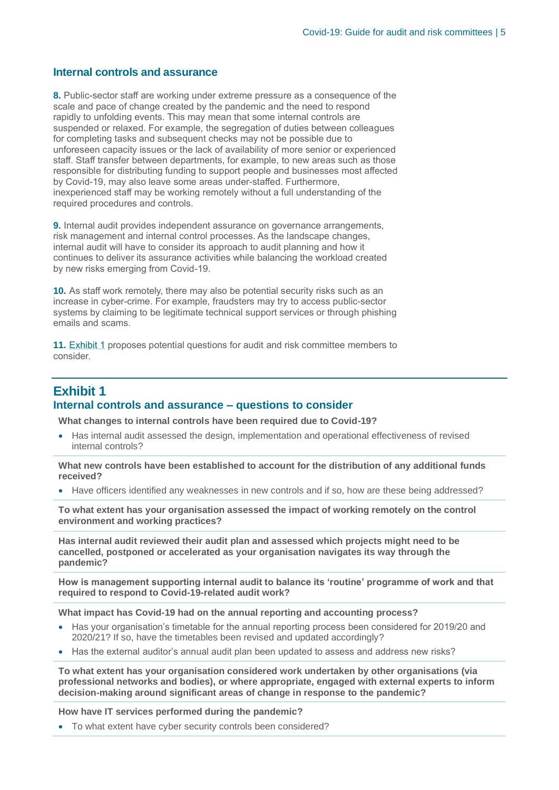#### **Internal controls and assurance**

**8.** Public-sector staff are working under extreme pressure as a consequence of the scale and pace of change created by the pandemic and the need to respond rapidly to unfolding events. This may mean that some internal controls are suspended or relaxed. For example, the segregation of duties between colleagues for completing tasks and subsequent checks may not be possible due to unforeseen capacity issues or the lack of availability of more senior or experienced staff. Staff transfer between departments, for example, to new areas such as those responsible for distributing funding to support people and businesses most affected by Covid-19, may also leave some areas under-staffed. Furthermore, inexperienced staff may be working remotely without a full understanding of the required procedures and controls.

**9.** Internal audit provides independent assurance on governance arrangements, risk management and internal control processes. As the landscape changes, internal audit will have to consider its approach to audit planning and how it continues to deliver its assurance activities while balancing the workload created by new risks emerging from Covid-19.

**10.** As staff work remotely, there may also be potential security risks such as an increase in cyber-crime. For example, fraudsters may try to access public-sector systems by claiming to be legitimate technical support services or through phishing emails and scams.

**11.** Exhibit 1 proposes potential questions for audit and risk committee members to consider.

#### **Exhibit 1 Internal controls and assurance – questions to consider**

**What changes to internal controls have been required due to Covid-19?** 

• Has internal audit assessed the design, implementation and operational effectiveness of revised internal controls?

**What new controls have been established to account for the distribution of any additional funds received?**

• Have officers identified any weaknesses in new controls and if so, how are these being addressed?

**To what extent has your organisation assessed the impact of working remotely on the control environment and working practices?**

**Has internal audit reviewed their audit plan and assessed which projects might need to be cancelled, postponed or accelerated as your organisation navigates its way through the pandemic?**

**How is management supporting internal audit to balance its 'routine' programme of work and that required to respond to Covid-19-related audit work?**

**What impact has Covid-19 had on the annual reporting and accounting process?**

- Has your organisation's timetable for the annual reporting process been considered for 2019/20 and 2020/21? If so, have the timetables been revised and updated accordingly?
- Has the external auditor's annual audit plan been updated to assess and address new risks?

**To what extent has your organisation considered work undertaken by other organisations (via professional networks and bodies), or where appropriate, engaged with external experts to inform decision-making around significant areas of change in response to the pandemic?**

**How have IT services performed during the pandemic?**

• To what extent have cyber security controls been considered?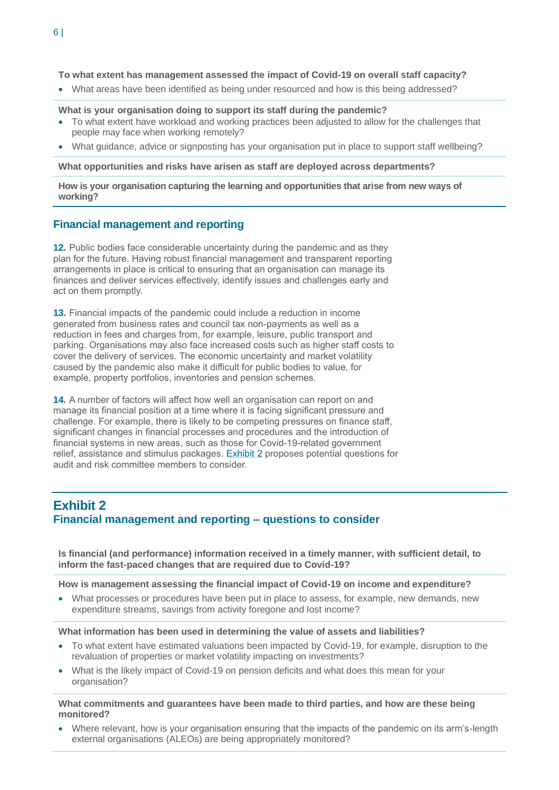#### **To what extent has management assessed the impact of Covid-19 on overall staff capacity?**

• What areas have been identified as being under resourced and how is this being addressed?

#### **What is your organisation doing to support its staff during the pandemic?**

- To what extent have workload and working practices been adjusted to allow for the challenges that people may face when working remotely?
- What guidance, advice or signposting has your organisation put in place to support staff wellbeing?

**What opportunities and risks have arisen as staff are deployed across departments?**

**How is your organisation capturing the learning and opportunities that arise from new ways of working?**

#### **Financial management and reporting**

**12.** Public bodies face considerable uncertainty during the pandemic and as they plan for the future. Having robust financial management and transparent reporting arrangements in place is critical to ensuring that an organisation can manage its finances and deliver services effectively, identify issues and challenges early and act on them promptly.

**13.** Financial impacts of the pandemic could include a reduction in income generated from business rates and council tax non-payments as well as a reduction in fees and charges from, for example, leisure, public transport and parking. Organisations may also face increased costs such as higher staff costs to cover the delivery of services. The economic uncertainty and market volatility caused by the pandemic also make it difficult for public bodies to value, for example, property portfolios, inventories and pension schemes.

**14.** A number of factors will affect how well an organisation can report on and manage its financial position at a time where it is facing significant pressure and challenge. For example, there is likely to be competing pressures on finance staff, significant changes in financial processes and procedures and the introduction of financial systems in new areas, such as those for Covid-19-related government relief, assistance and stimulus packages. Exhibit 2 proposes potential questions for audit and risk committee members to consider.

#### **Exhibit 2 Financial management and reporting – questions to consider**

**Is financial (and performance) information received in a timely manner, with sufficient detail, to inform the fast-paced changes that are required due to Covid-19?**

**How is management assessing the financial impact of Covid-19 on income and expenditure?**

• What processes or procedures have been put in place to assess, for example, new demands, new expenditure streams, savings from activity foregone and lost income?

#### **What information has been used in determining the value of assets and liabilities?**

- To what extent have estimated valuations been impacted by Covid-19, for example, disruption to the revaluation of properties or market volatility impacting on investments?
- What is the likely impact of Covid-19 on pension deficits and what does this mean for your organisation?

#### **What commitments and guarantees have been made to third parties, and how are these being monitored?**

• Where relevant, how is your organisation ensuring that the impacts of the pandemic on its arm's-length external organisations (ALEOs) are being appropriately monitored?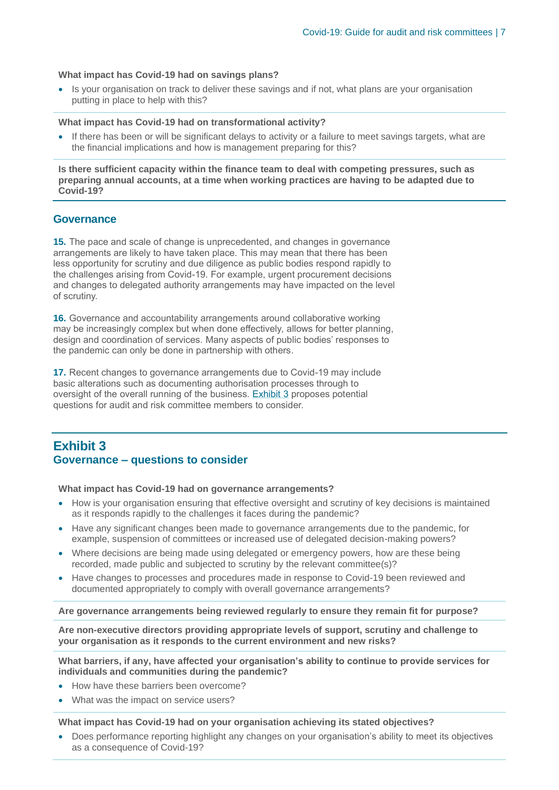#### **What impact has Covid-19 had on savings plans?**

• Is your organisation on track to deliver these savings and if not, what plans are your organisation putting in place to help with this?

#### **What impact has Covid-19 had on transformational activity?**

If there has been or will be significant delays to activity or a failure to meet savings targets, what are the financial implications and how is management preparing for this?

**Is there sufficient capacity within the finance team to deal with competing pressures, such as preparing annual accounts, at a time when working practices are having to be adapted due to Covid-19?**

#### **Governance**

**15.** The pace and scale of change is unprecedented, and changes in governance arrangements are likely to have taken place. This may mean that there has been less opportunity for scrutiny and due diligence as public bodies respond rapidly to the challenges arising from Covid-19. For example, urgent procurement decisions and changes to delegated authority arrangements may have impacted on the level of scrutiny.

**16.** Governance and accountability arrangements around collaborative working may be increasingly complex but when done effectively, allows for better planning, design and coordination of services. Many aspects of public bodies' responses to the pandemic can only be done in partnership with others.

**17.** Recent changes to governance arrangements due to Covid-19 may include basic alterations such as documenting authorisation processes through to oversight of the overall running of the business. Exhibit 3 proposes potential questions for audit and risk committee members to consider.

#### **Exhibit 3 Governance – questions to consider**

#### **What impact has Covid-19 had on governance arrangements?**

- How is your organisation ensuring that effective oversight and scrutiny of key decisions is maintained as it responds rapidly to the challenges it faces during the pandemic?
- Have any significant changes been made to governance arrangements due to the pandemic, for example, suspension of committees or increased use of delegated decision-making powers?
- Where decisions are being made using delegated or emergency powers, how are these being recorded, made public and subjected to scrutiny by the relevant committee(s)?
- Have changes to processes and procedures made in response to Covid-19 been reviewed and documented appropriately to comply with overall governance arrangements?

#### **Are governance arrangements being reviewed regularly to ensure they remain fit for purpose?**

**Are non-executive directors providing appropriate levels of support, scrutiny and challenge to your organisation as it responds to the current environment and new risks?**

**What barriers, if any, have affected your organisation's ability to continue to provide services for individuals and communities during the pandemic?**

- How have these barriers been overcome?
- What was the impact on service users?

**What impact has Covid-19 had on your organisation achieving its stated objectives?**

• Does performance reporting highlight any changes on your organisation's ability to meet its objectives as a consequence of Covid-19?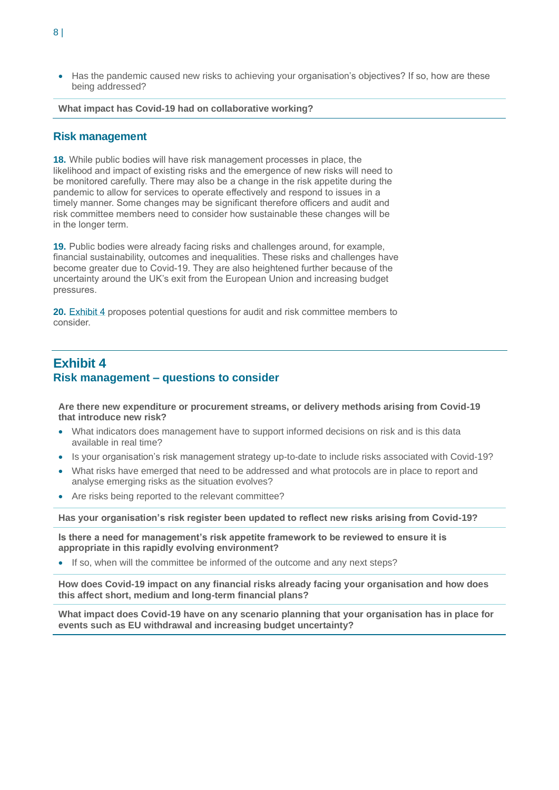• Has the pandemic caused new risks to achieving your organisation's objectives? If so, how are these being addressed?

#### **What impact has Covid-19 had on collaborative working?**

#### **Risk management**

**18.** While public bodies will have risk management processes in place, the likelihood and impact of existing risks and the emergence of new risks will need to be monitored carefully. There may also be a change in the risk appetite during the pandemic to allow for services to operate effectively and respond to issues in a timely manner. Some changes may be significant therefore officers and audit and risk committee members need to consider how sustainable these changes will be in the longer term.

**19.** Public bodies were already facing risks and challenges around, for example, financial sustainability, outcomes and inequalities. These risks and challenges have become greater due to Covid-19. They are also heightened further because of the uncertainty around the UK's exit from the European Union and increasing budget pressures.

**20.** Exhibit 4 proposes potential questions for audit and risk committee members to consider.

#### **Exhibit 4 Risk management – questions to consider**

**Are there new expenditure or procurement streams, or delivery methods arising from Covid-19 that introduce new risk?**

- What indicators does management have to support informed decisions on risk and is this data available in real time?
- Is your organisation's risk management strategy up-to-date to include risks associated with Covid-19?
- What risks have emerged that need to be addressed and what protocols are in place to report and analyse emerging risks as the situation evolves?
- Are risks being reported to the relevant committee?

**Has your organisation's risk register been updated to reflect new risks arising from Covid-19?**

**Is there a need for management's risk appetite framework to be reviewed to ensure it is appropriate in this rapidly evolving environment?**

• If so, when will the committee be informed of the outcome and any next steps?

**How does Covid-19 impact on any financial risks already facing your organisation and how does this affect short, medium and long-term financial plans?**

**What impact does Covid-19 have on any scenario planning that your organisation has in place for events such as EU withdrawal and increasing budget uncertainty?**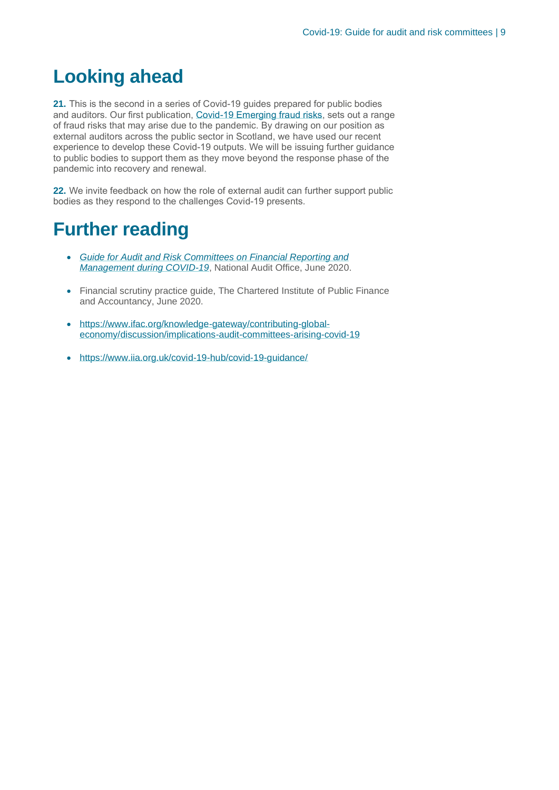# <span id="page-12-0"></span>**Looking ahead**

**21.** This is the second in a series of Covid-19 guides prepared for public bodies and auditors. Our first publication, [Covid-19 Emerging fraud risks,](https://www.audit-scotland.gov.uk/uploads/docs/report/2020/briefing_200723_covid.pdf) sets out a range of fraud risks that may arise due to the pandemic. By drawing on our position as external auditors across the public sector in Scotland, we have used our recent experience to develop these Covid-19 outputs. We will be issuing further guidance to public bodies to support them as they move beyond the response phase of the pandemic into recovery and renewal.

**22.** We invite feedback on how the role of external audit can further support public bodies as they respond to the challenges Covid-19 presents.

## <span id="page-12-1"></span>**Further reading**

- *[Guide for Audit and Risk Committees on Financial Reporting and](https://www.nao.org.uk/wp-content/uploads/2020/06/Guide-for-audit-and-risk-committees-on-financial-reporting-and-management-during-Covid-19-1.pdf)  [Management during COVID-19](https://www.nao.org.uk/wp-content/uploads/2020/06/Guide-for-audit-and-risk-committees-on-financial-reporting-and-management-during-Covid-19-1.pdf)*, National Audit Office, June 2020.
- Financial scrutiny practice guide, The Chartered Institute of Public Finance and Accountancy, June 2020.
- [https://www.ifac.org/knowledge-gateway/contributing-global](https://www.ifac.org/knowledge-gateway/contributing-global-economy/discussion/implications-audit-committees-arising-covid-19)[economy/discussion/implications-audit-committees-arising-covid-19](https://www.ifac.org/knowledge-gateway/contributing-global-economy/discussion/implications-audit-committees-arising-covid-19)
- https://www.iia.org.uk/covid-19-hub/covid-19-quidance/